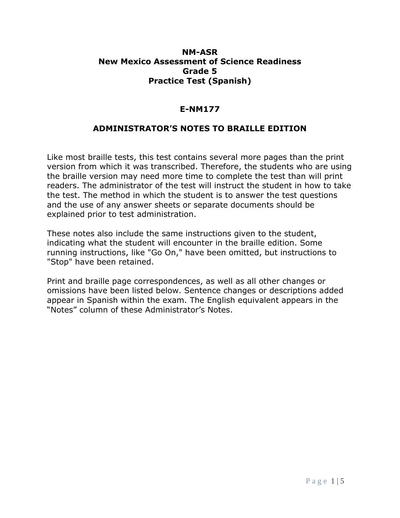## **NM-ASR New Mexico Assessment of Science Readiness Grade 5 Practice Test (Spanish)**

## **E-NM177**

## **ADMINISTRATOR'S NOTES TO BRAILLE EDITION**

Like most braille tests, this test contains several more pages than the print version from which it was transcribed. Therefore, the students who are using the braille version may need more time to complete the test than will print readers. The administrator of the test will instruct the student in how to take the test. The method in which the student is to answer the test questions and the use of any answer sheets or separate documents should be explained prior to test administration.

These notes also include the same instructions given to the student, indicating what the student will encounter in the braille edition. Some running instructions, like "Go On," have been omitted, but instructions to "Stop" have been retained.

Print and braille page correspondences, as well as all other changes or omissions have been listed below. Sentence changes or descriptions added appear in Spanish within the exam. The English equivalent appears in the "Notes" column of these Administrator's Notes.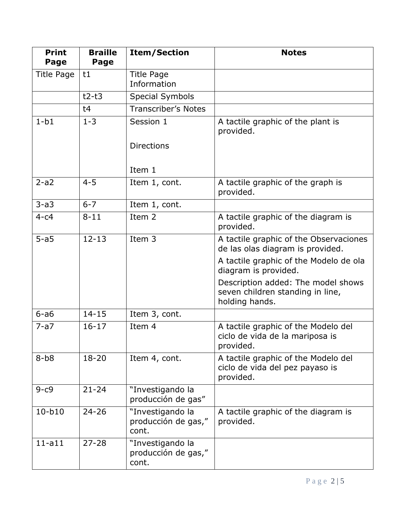| <b>Print</b><br>Page | <b>Braille</b><br>Page | <b>Item/Section</b>                              | <b>Notes</b>                                                                             |
|----------------------|------------------------|--------------------------------------------------|------------------------------------------------------------------------------------------|
| Title Page           | t1                     | <b>Title Page</b><br>Information                 |                                                                                          |
|                      | $t2-t3$                | <b>Special Symbols</b>                           |                                                                                          |
|                      | t4                     | <b>Transcriber's Notes</b>                       |                                                                                          |
| $1-b1$               | $1 - 3$                | Session 1                                        | A tactile graphic of the plant is<br>provided.                                           |
|                      |                        | <b>Directions</b><br>Item 1                      |                                                                                          |
| $2-a2$               | $4 - 5$                | Item 1, cont.                                    | A tactile graphic of the graph is<br>provided.                                           |
| $3-a3$               | $6 - 7$                | Item 1, cont.                                    |                                                                                          |
| $4-c4$               | $8 - 11$               | Item 2                                           | A tactile graphic of the diagram is<br>provided.                                         |
| $5-a5$               | $12 - 13$              | Item 3                                           | A tactile graphic of the Observaciones<br>de las olas diagram is provided.               |
|                      |                        |                                                  | A tactile graphic of the Modelo de ola<br>diagram is provided.                           |
|                      |                        |                                                  | Description added: The model shows<br>seven children standing in line,<br>holding hands. |
| $6 - a6$             | $14 - 15$              | Item 3, cont.                                    |                                                                                          |
| $7-a7$               | $16 - 17$              | Item 4                                           | A tactile graphic of the Modelo del<br>ciclo de vida de la mariposa is<br>provided.      |
| $8-b8$               | 18-20                  | Item 4, cont.                                    | A tactile graphic of the Modelo del<br>ciclo de vida del pez payaso is<br>provided.      |
| $9-c9$               | $21 - 24$              | "Investigando la<br>producción de gas"           |                                                                                          |
| $10-b10$             | $24 - 26$              | "Investigando la<br>producción de gas,"<br>cont. | A tactile graphic of the diagram is<br>provided.                                         |
| $11 - a11$           | $27 - 28$              | "Investigando la<br>producción de gas,"<br>cont. |                                                                                          |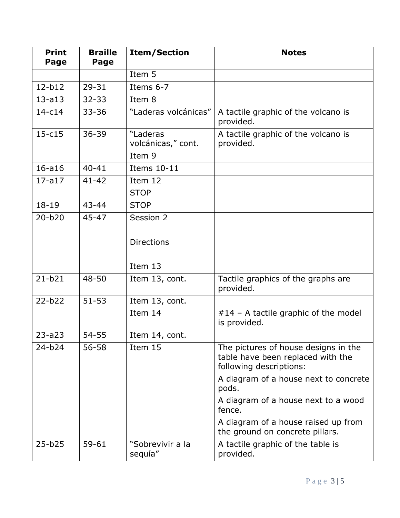| <b>Print</b><br>Page | <b>Braille</b><br>Page | <b>Item/Section</b>            | <b>Notes</b>                                                                                         |
|----------------------|------------------------|--------------------------------|------------------------------------------------------------------------------------------------------|
|                      |                        | Item 5                         |                                                                                                      |
| $12-b12$             | $29 - 31$              | Items 6-7                      |                                                                                                      |
| $13 - a13$           | $32 - 33$              | Item 8                         |                                                                                                      |
| $14-c14$             | $33 - 36$              | "Laderas volcánicas"           | A tactile graphic of the volcano is<br>provided.                                                     |
| $15 - c15$           | $36 - 39$              | "Laderas<br>volcánicas," cont. | A tactile graphic of the volcano is<br>provided.                                                     |
|                      |                        | Item 9                         |                                                                                                      |
| $16 - a16$           | $40 - 41$              | Items 10-11                    |                                                                                                      |
| $17 - a17$           | $41 - 42$              | Item 12<br><b>STOP</b>         |                                                                                                      |
| $18 - 19$            | 43-44                  | <b>STOP</b>                    |                                                                                                      |
| $20 - b20$           | 45-47                  | Session 2                      |                                                                                                      |
|                      |                        | <b>Directions</b>              |                                                                                                      |
|                      |                        | Item 13                        |                                                                                                      |
| $21 - b21$           | 48-50                  | Item 13, cont.                 | Tactile graphics of the graphs are<br>provided.                                                      |
| $22 - b22$           | $51 - 53$              | Item 13, cont.                 |                                                                                                      |
|                      |                        | Item 14                        | #14 - A tactile graphic of the model<br>is provided.                                                 |
| $23 - a23$           | $54 - 55$              | Item 14, cont.                 |                                                                                                      |
| $24 - b24$           | $56 - 58$              | Item 15                        | The pictures of house designs in the<br>table have been replaced with the<br>following descriptions: |
|                      |                        |                                | A diagram of a house next to concrete<br>pods.                                                       |
|                      |                        |                                | A diagram of a house next to a wood<br>fence.                                                        |
|                      |                        |                                | A diagram of a house raised up from<br>the ground on concrete pillars.                               |
| $25 - b25$           | $59 - 61$              | "Sobrevivir a la<br>sequía"    | A tactile graphic of the table is<br>provided.                                                       |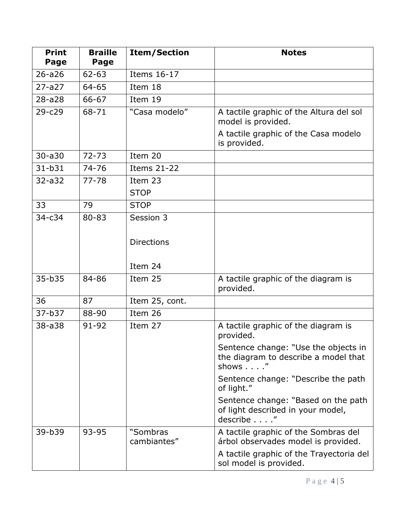| <b>Print</b><br>Page | <b>Braille</b><br>Page | <b>Item/Section</b>     | <b>Notes</b>                                                                           |
|----------------------|------------------------|-------------------------|----------------------------------------------------------------------------------------|
| $26 - a26$           | $62 - 63$              | Items 16-17             |                                                                                        |
| $27 - a27$           | 64-65                  | Item 18                 |                                                                                        |
| $28 - a 28$          | 66-67                  | Item 19                 |                                                                                        |
| $29 - c29$           | 68-71                  | "Casa modelo"           | A tactile graphic of the Altura del sol<br>model is provided.                          |
|                      |                        |                         | A tactile graphic of the Casa modelo<br>is provided.                                   |
| $30 - a30$           | $72 - 73$              | Item 20                 |                                                                                        |
| $31 - b31$           | 74-76                  | <b>Items 21-22</b>      |                                                                                        |
| $32 - a32$           | $77 - 78$              | Item 23                 |                                                                                        |
|                      |                        | <b>STOP</b>             |                                                                                        |
| 33                   | 79                     | <b>STOP</b>             |                                                                                        |
| $34 - c34$           | 80-83                  | Session 3               |                                                                                        |
|                      |                        | <b>Directions</b>       |                                                                                        |
|                      |                        | Item 24                 |                                                                                        |
| 35-b35               | 84-86                  | Item 25                 | A tactile graphic of the diagram is<br>provided.                                       |
| 36                   | 87                     | Item 25, cont.          |                                                                                        |
| 37-b37               | 88-90                  | Item 26                 |                                                                                        |
| 38-a38               | 91-92                  | Item 27                 | A tactile graphic of the diagram is<br>provided.                                       |
|                      |                        |                         | Sentence change: "Use the objects in<br>the diagram to describe a model that<br>shows" |
|                      |                        |                         | Sentence change: "Describe the path<br>of light."                                      |
|                      |                        |                         | Sentence change: "Based on the path<br>of light described in your model,<br>describe"  |
| 39-b39               | 93-95                  | "Sombras<br>cambiantes" | A tactile graphic of the Sombras del<br>árbol observades model is provided.            |
|                      |                        |                         | A tactile graphic of the Trayectoria del<br>sol model is provided.                     |